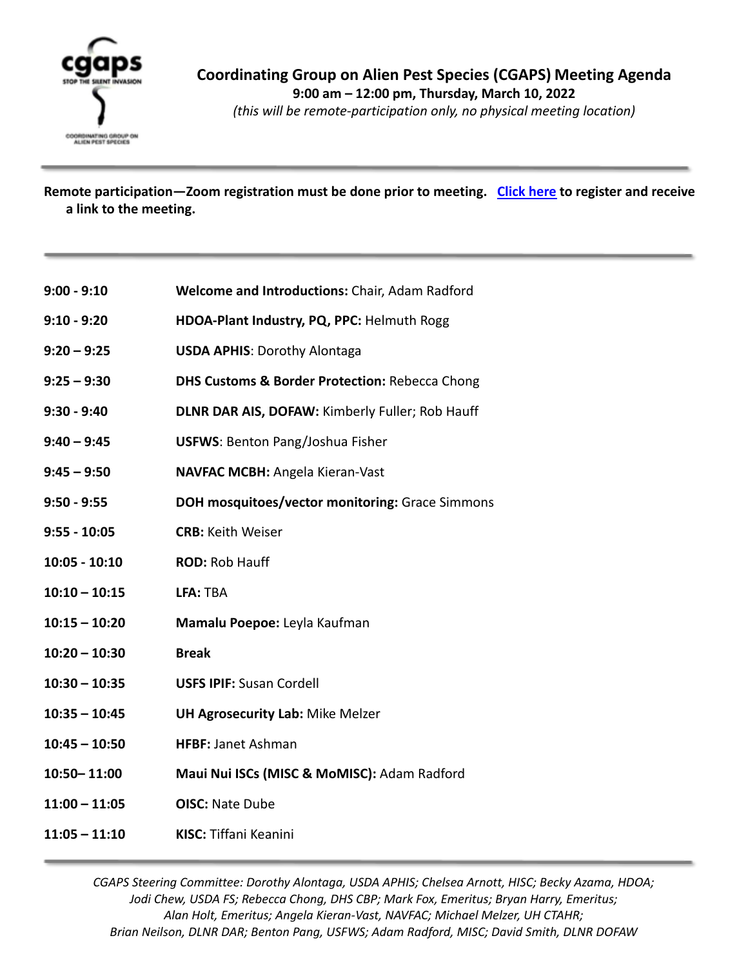

*(this will be remote-participation only, no physical meeting location)*

**Remote participation—Zoom registration must be done prior to meeting. [Click here](https://hawaii.zoom.us/meeting/register/tJUtc-moqDIpE9TjCg9VGs_Lcl--OLW1yojc) to register and receive a link to the meeting.**

- **9:00 9:10 Welcome and Introductions:** Chair, Adam Radford
- **9:10 9:20 HDOA-Plant Industry, PQ, PPC:** Helmuth Rogg
- **9:20 9:25 USDA APHIS**: Dorothy Alontaga
- **9:25 9:30 DHS Customs & Border Protection:** Rebecca Chong
- **9:30 9:40 DLNR DAR AIS, DOFAW:** Kimberly Fuller; Rob Hauff
- **9:40 9:45 USFWS**: Benton Pang/Joshua Fisher
- **9:45 9:50 NAVFAC MCBH:** Angela Kieran-Vast
- **9:50 9:55 DOH mosquitoes/vector monitoring:** Grace Simmons
- **9:55 10:05 CRB:** Keith Weiser
- **10:05 10:10 ROD:** Rob Hauff
- **10:10 10:15 LFA:** TBA
- **10:15 10:20 Mamalu Poepoe:** Leyla Kaufman
- **10:20 10:30 Break**
- **10:30 10:35 USFS IPIF:** Susan Cordell
- **10:35 10:45 UH Agrosecurity Lab:** Mike Melzer
- **10:45 10:50 HFBF:** Janet Ashman
- **10:50– 11:00 Maui Nui ISCs (MISC & MoMISC):** Adam Radford
- **11:00 11:05 OISC:** Nate Dube
- **11:05 11:10 KISC:** Tiffani Keanini

*CGAPS Steering Committee: Dorothy Alontaga, USDA APHIS; Chelsea Arnott, HISC; Becky Azama, HDOA; Jodi Chew, USDA FS; Rebecca Chong, DHS CBP; Mark Fox, Emeritus; Bryan Harry, Emeritus; Alan Holt, Emeritus; Angela Kieran-Vast, NAVFAC; Michael Melzer, UH CTAHR; Brian Neilson, DLNR DAR; Benton Pang, USFWS; Adam Radford, MISC; David Smith, DLNR DOFAW*